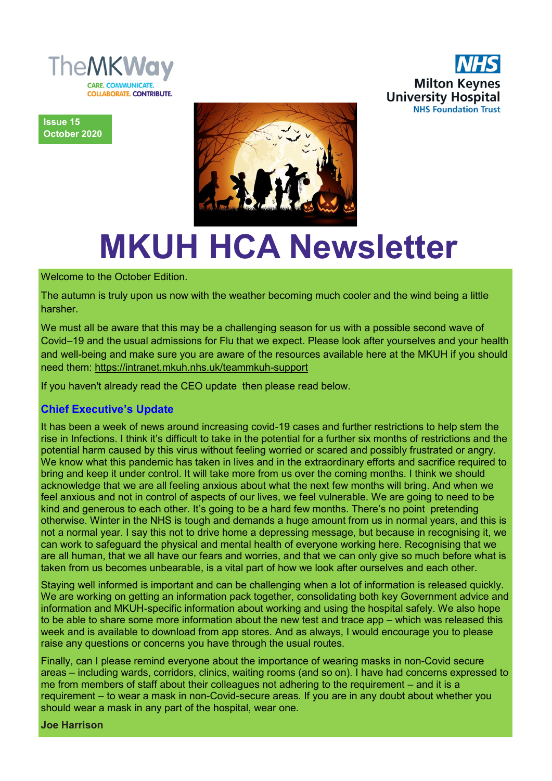



**Issue 15 October 2020**



# **MKUH HCA Newsletter**

Welcome to the October Edition.

The autumn is truly upon us now with the weather becoming much cooler and the wind being a little harsher.

We must all be aware that this may be a challenging season for us with a possible second wave of Covid–19 and the usual admissions for Flu that we expect. Please look after yourselves and your health and well-being and make sure you are aware of the resources available here at the MKUH if you should need them: [https://intranet.mkuh.nhs.uk/teammkuh](https://intranet.mkuh.nhs.uk/teammkuh-support)-support

If you haven't already read the CEO update then please read below.

## **Chief Executive's Update**

It has been a week of news around increasing covid-19 cases and further restrictions to help stem the rise in Infections. I think it's difficult to take in the potential for a further six months of restrictions and the potential harm caused by this virus without feeling worried or scared and possibly frustrated or angry. We know what this pandemic has taken in lives and in the extraordinary efforts and sacrifice required to bring and keep it under control. It will take more from us over the coming months. I think we should acknowledge that we are all feeling anxious about what the next few months will bring. And when we feel anxious and not in control of aspects of our lives, we feel vulnerable. We are going to need to be kind and generous to each other. It's going to be a hard few months. There's no point pretending otherwise. Winter in the NHS is tough and demands a huge amount from us in normal years, and this is not a normal year. I say this not to drive home a depressing message, but because in recognising it, we can work to safeguard the physical and mental health of everyone working here. Recognising that we are all human, that we all have our fears and worries, and that we can only give so much before what is taken from us becomes unbearable, is a vital part of how we look after ourselves and each other.

Staying well informed is important and can be challenging when a lot of information is released quickly. We are working on getting an information pack together, consolidating both key Government advice and information and MKUH-specific information about working and using the hospital safely. We also hope to be able to share some more information about the new test and trace app – which was released this week and is available to download from app stores. And as always, I would encourage you to please raise any questions or concerns you have through the usual routes.

Finally, can I please remind everyone about the importance of wearing masks in non-Covid secure areas – including wards, corridors, clinics, waiting rooms (and so on). I have had concerns expressed to me from members of staff about their colleagues not adhering to the requirement – and it is a requirement – to wear a mask in non-Covid-secure areas. If you are in any doubt about whether you should wear a mask in any part of the hospital, wear one.

**Joe Harrison**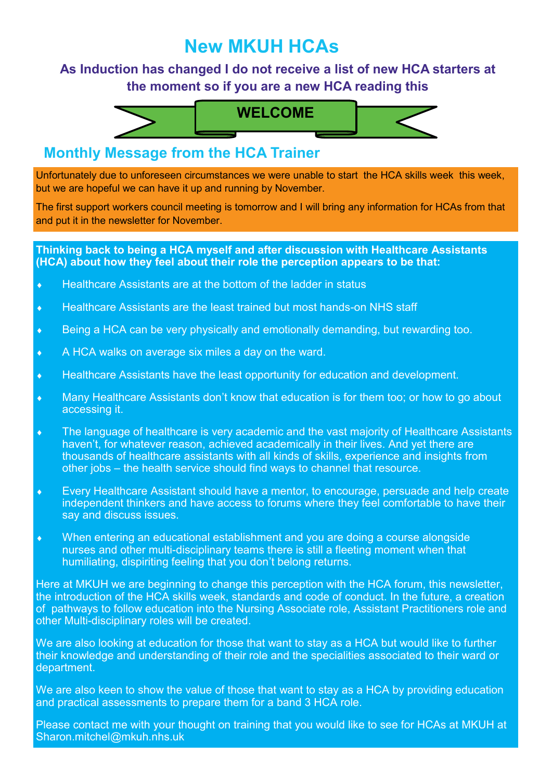# **New MKUH HCAs**

# **As Induction has changed I do not receive a list of new HCA starters at the moment so if you are a new HCA reading this**



# **Monthly Message from the HCA Trainer**

Unfortunately due to unforeseen circumstances we were unable to start the HCA skills week this week, but we are hopeful we can have it up and running by November.

The first support workers council meeting is tomorrow and I will bring any information for HCAs from that and put it in the newsletter for November.

#### **Thinking back to being a HCA myself and after discussion with Healthcare Assistants (HCA) about how they feel about their role the perception appears to be that:**

- ◆ Healthcare Assistants are at the bottom of the ladder in status
- Healthcare Assistants are the least trained but most hands-on NHS staff
- Being a HCA can be very physically and emotionally demanding, but rewarding too.
- A HCA walks on average six miles a day on the ward.
- Healthcare Assistants have the least opportunity for education and development.
- Many Healthcare Assistants don't know that education is for them too; or how to go about accessing it.
- The language of healthcare is very academic and the vast majority of Healthcare Assistants haven't, for whatever reason, achieved academically in their lives. And yet there are thousands of healthcare assistants with all kinds of skills, experience and insights from other jobs – the health service should find ways to channel that resource.
- Every Healthcare Assistant should have a mentor, to encourage, persuade and help create independent thinkers and have access to forums where they feel comfortable to have their say and discuss issues.
- When entering an educational establishment and you are doing a course alongside nurses and other multi-disciplinary teams there is still a fleeting moment when that humiliating, dispiriting feeling that you don't belong returns.

Here at MKUH we are beginning to change this perception with the HCA forum, this newsletter, the introduction of the HCA skills week, standards and code of conduct. In the future, a creation of pathways to follow education into the Nursing Associate role, Assistant Practitioners role and other Multi-disciplinary roles will be created.

We are also looking at education for those that want to stay as a HCA but would like to further their knowledge and understanding of their role and the specialities associated to their ward or department.

We are also keen to show the value of those that want to stay as a HCA by providing education and practical assessments to prepare them for a band 3 HCA role.

Please contact me with your thought on training that you would like to see for HCAs at MKUH at Sharon.mitchel@mkuh.nhs.uk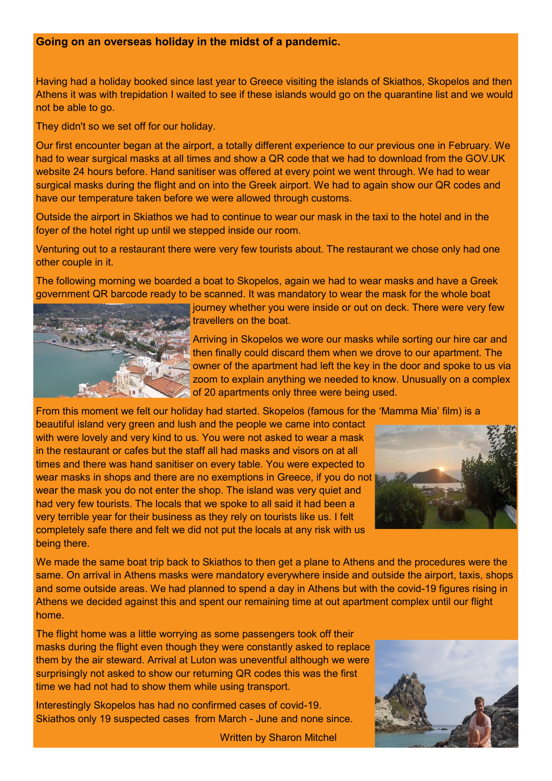#### **Going on an overseas holiday in the midst of a pandemic.**

Having had a holiday booked since last year to Greece visiting the islands of Skiathos, Skopelos and then Athens it was with trepidation I waited to see if these islands would go on the quarantine list and we would not be able to go.

They didn't so we set off for our holiday.

Our first encounter began at the airport, a totally different experience to our previous one in February. We had to wear surgical masks at all times and show a QR code that we had to download from the GOV.UK website 24 hours before. Hand sanitiser was offered at every point we went through. We had to wear surgical masks during the flight and on into the Greek airport. We had to again show our QR codes and have our temperature taken before we were allowed through customs.

Outside the airport in Skiathos we had to continue to wear our mask in the taxi to the hotel and in the foyer of the hotel right up until we stepped inside our room.

Venturing out to a restaurant there were very few tourists about. The restaurant we chose only had one other couple in it.

The following morning we boarded a boat to Skopelos, again we had to wear masks and have a Greek government QR barcode ready to be scanned. It was mandatory to wear the mask for the whole boat



journey whether you were inside or out on deck. There were very few travellers on the boat.

Arriving in Skopelos we wore our masks while sorting our hire car and then finally could discard them when we drove to our apartment. The owner of the apartment had left the key in the door and spoke to us via zoom to explain anything we needed to know. Unusually on a complex of 20 apartments only three were being used.

From this moment we felt our holiday had started. Skopelos (famous for the 'Mamma Mia' film) is a

beautiful island very green and lush and the people we came into contact with were lovely and very kind to us. You were not asked to wear a mask in the restaurant or cafes but the staff all had masks and visors on at all times and there was hand sanitiser on every table. You were expected to wear masks in shops and there are no exemptions in Greece, if you do not wear the mask you do not enter the shop. The island was very quiet and had very few tourists. The locals that we spoke to all said it had been a very terrible year for their business as they rely on tourists like us. I felt completely safe there and felt we did not put the locals at any risk with us being there.



We made the same boat trip back to Skiathos to then get a plane to Athens and the procedures were the same. On arrival in Athens masks were mandatory everywhere inside and outside the airport, taxis, shops and some outside areas. We had planned to spend a day in Athens but with the covid-19 figures rising in Athens we decided against this and spent our remaining time at out apartment complex until our flight home.

The flight home was a little worrying as some passengers took off their masks during the flight even though they were constantly asked to replace them by the air steward. Arrival at Luton was uneventful although we were surprisingly not asked to show our returning QR codes this was the first time we had not had to show them while using transport.

Interestingly Skopelos has had no confirmed cases of covid-19. Skiathos only 19 suspected cases from March - June and none since.

Written by Sharon Mitchel